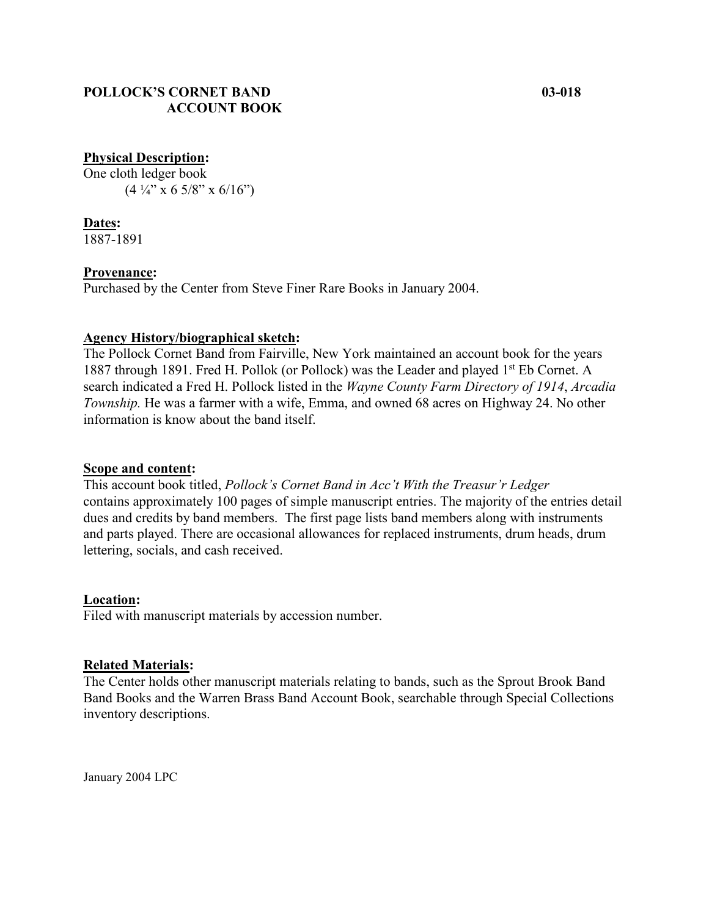# **POLLOCK'S CORNET BAND 03-018 ACCOUNT BOOK**

# **Physical Description:**

One cloth ledger book  $(4\frac{1}{4}$ " x 6 5/8" x 6/16")

**Dates:** 1887-1891

#### **Provenance:**

Purchased by the Center from Steve Finer Rare Books in January 2004.

# **Agency History/biographical sketch:**

The Pollock Cornet Band from Fairville, New York maintained an account book for the years 1887 through 1891. Fred H. Pollok (or Pollock) was the Leader and played 1<sup>st</sup> Eb Cornet. A search indicated a Fred H. Pollock listed in the *Wayne County Farm Directory of 1914*, *Arcadia Township.* He was a farmer with a wife, Emma, and owned 68 acres on Highway 24. No other information is know about the band itself.

# **Scope and content:**

This account book titled, *Pollock's Cornet Band in Acc't With the Treasur'r Ledger* contains approximately 100 pages of simple manuscript entries. The majority of the entries detail dues and credits by band members. The first page lists band members along with instruments and parts played. There are occasional allowances for replaced instruments, drum heads, drum lettering, socials, and cash received.

# **Location:**

Filed with manuscript materials by accession number.

# **Related Materials:**

The Center holds other manuscript materials relating to bands, such as the Sprout Brook Band Band Books and the Warren Brass Band Account Book, searchable through Special Collections inventory descriptions.

January 2004 LPC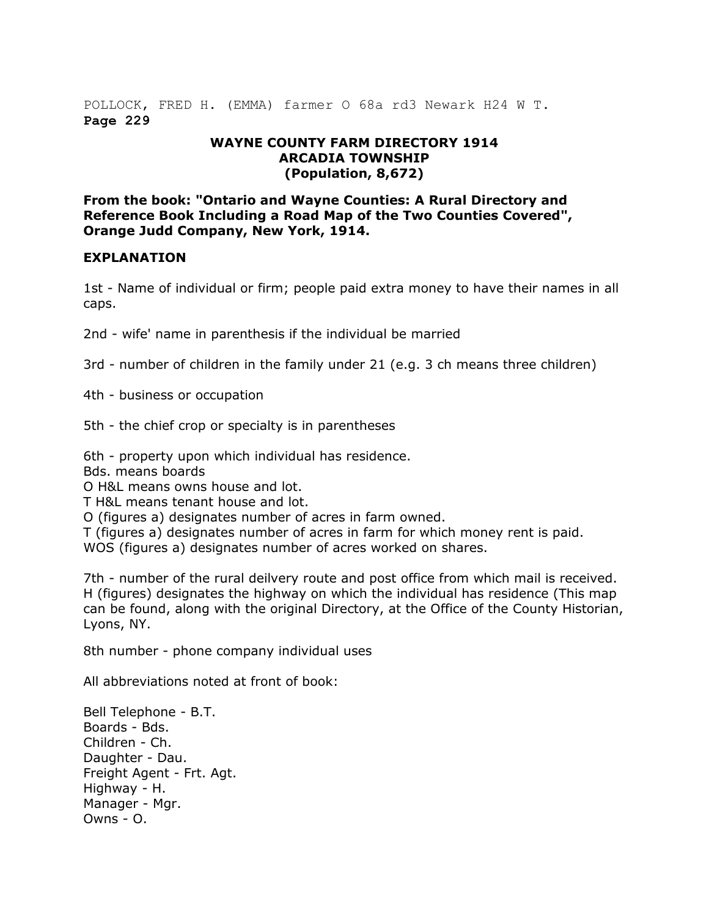POLLOCK, FRED H. (EMMA) farmer O 68a rd3 Newark H24 W T. **Page 229**

#### **WAYNE COUNTY FARM DIRECTORY 1914 ARCADIA TOWNSHIP (Population, 8,672)**

**From the book: "Ontario and Wayne Counties: A Rural Directory and Reference Book Including a Road Map of the Two Counties Covered", Orange Judd Company, New York, 1914.**

#### **EXPLANATION**

1st - Name of individual or firm; people paid extra money to have their names in all caps.

2nd - wife' name in parenthesis if the individual be married

3rd - number of children in the family under 21 (e.g. 3 ch means three children)

4th - business or occupation

5th - the chief crop or specialty is in parentheses

6th - property upon which individual has residence.

Bds. means boards

O H&L means owns house and lot.

T H&L means tenant house and lot.

O (figures a) designates number of acres in farm owned.

T (figures a) designates number of acres in farm for which money rent is paid.

WOS (figures a) designates number of acres worked on shares.

7th - number of the rural deilvery route and post office from which mail is received. H (figures) designates the highway on which the individual has residence (This map can be found, along with the original Directory, at the Office of the County Historian, Lyons, NY.

8th number - phone company individual uses

All abbreviations noted at front of book:

Bell Telephone - B.T. Boards - Bds. Children - Ch. Daughter - Dau. Freight Agent - Frt. Agt. Highway - H. Manager - Mgr. Owns - O.